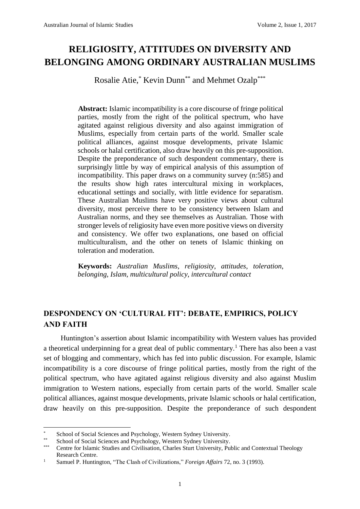# **RELIGIOSITY, ATTITUDES ON DIVERSITY AND BELONGING AMONG ORDINARY AUSTRALIAN MUSLIMS**

Rosalie Atie,\* Kevin Dunn\*\* and Mehmet Ozalp\*\*\*

**Abstract:** Islamic incompatibility is a core discourse of fringe political parties, mostly from the right of the political spectrum, who have agitated against religious diversity and also against immigration of Muslims, especially from certain parts of the world. Smaller scale political alliances, against mosque developments, private Islamic schools or halal certification, also draw heavily on this pre-supposition. Despite the preponderance of such despondent commentary, there is surprisingly little by way of empirical analysis of this assumption of incompatibility. This paper draws on a community survey (n:585) and the results show high rates intercultural mixing in workplaces, educational settings and socially, with little evidence for separatism. These Australian Muslims have very positive views about cultural diversity, most perceive there to be consistency between Islam and Australian norms, and they see themselves as Australian. Those with stronger levels of religiosity have even more positive views on diversity and consistency. We offer two explanations, one based on official multiculturalism, and the other on tenets of Islamic thinking on toleration and moderation.

**Keywords:** *Australian Muslims*, *religiosity*, *attitudes*, *toleration*, *belonging*, *Islam, multicultural policy*, *intercultural contact*

## **DESPONDENCY ON 'CULTURAL FIT': DEBATE, EMPIRICS, POLICY AND FAITH**

Huntington's assertion about Islamic incompatibility with Western values has provided a theoretical underpinning for a great deal of public commentary.<sup>1</sup> There has also been a vast set of blogging and commentary, which has fed into public discussion. For example, Islamic incompatibility is a core discourse of fringe political parties, mostly from the right of the political spectrum, who have agitated against religious diversity and also against Muslim immigration to Western nations, especially from certain parts of the world. Smaller scale political alliances, against mosque developments, private Islamic schools or halal certification, draw heavily on this pre-supposition. Despite the preponderance of such despondent

**<sup>.</sup>** \* School of Social Sciences and Psychology, Western Sydney University.

<sup>\*\*</sup> School of Social Sciences and Psychology, Western Sydney University.

Centre for Islamic Studies and Civilisation, Charles Sturt University, Public and Contextual Theology Research Centre.

<sup>1</sup> Samuel P. Huntington, "The Clash of Civilizations," *Foreign Affairs* 72, no. 3 (1993).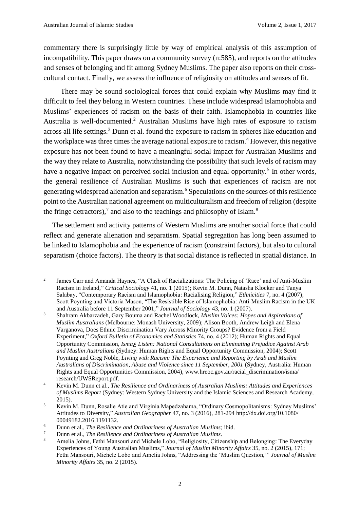commentary there is surprisingly little by way of empirical analysis of this assumption of incompatibility. This paper draws on a community survey (n:585), and reports on the attitudes and senses of belonging and fit among Sydney Muslims. The paper also reports on their crosscultural contact. Finally, we assess the influence of religiosity on attitudes and senses of fit.

There may be sound sociological forces that could explain why Muslims may find it difficult to feel they belong in Western countries. These include widespread Islamophobia and Muslims' experiences of racism on the basis of their faith. Islamophobia in countries like Australia is well-documented.<sup>2</sup> Australian Muslims have high rates of exposure to racism across all life settings.<sup>3</sup> Dunn et al. found the exposure to racism in spheres like education and the workplace was three times the average national exposure to racism.<sup>4</sup> However, this negative exposure has not been found to have a meaningful social impact for Australian Muslims and the way they relate to Australia, notwithstanding the possibility that such levels of racism may have a negative impact on perceived social inclusion and equal opportunity.<sup>5</sup> In other words, the general resilience of Australian Muslims is such that experiences of racism are not generating widespread alienation and separatism.<sup>6</sup> Speculations on the sources of this resilience point to the Australian national agreement on multiculturalism and freedom of religion (despite the fringe detractors),<sup>7</sup> and also to the teachings and philosophy of Islam.<sup>8</sup>

The settlement and activity patterns of Western Muslims are another social force that could reflect and generate alienation and separatism. Spatial segregation has long been assumed to be linked to Islamophobia and the experience of racism (constraint factors), but also to cultural separatism (choice factors). The theory is that social distance is reflected in spatial distance. In

 $\frac{1}{2}$ James Carr and Amanda Haynes, "A Clash of Racializations: The Policing of 'Race' and of Anti-Muslim Racism in Ireland," *Critical Sociology* 41, no. 1 (2015); Kevin M. Dunn, Natasha Klocker and Tanya Salabay, "Contemporary Racism and Islamophobia: Racialising Religion," *Ethnicities* 7, no. 4 (2007); Scott Poynting and Victoria Mason, "The Resistible Rise of Islamophobia: Anti-Muslim Racism in the UK and Australia before 11 September 2001," *Journal of Sociology* 43, no. 1 (2007).

<sup>3</sup> Shahram Akbarzadeh, Gary Bouma and Rachel Woodlock, *Muslim Voices: Hopes and Aspirations of Muslim Australians* (Melbourne: Monash University, 2009); Alison Booth, Andrew Leigh and Elena Varganova, Does Ethnic Discrimination Vary Across Minority Groups? Evidence from a Field Experiment," *Oxford Bulletin of Economics and Statistics* 74, no. 4 (2012); Human Rights and Equal Opportunity Commission, *Isma*ع *Listen: National Consultations on Eliminating Prejudice Against Arab and Muslim Australians* (Sydney: Human Rights and Equal Opportunity Commission, 2004); Scott Poynting and Greg Noble, *Living with Racism: The Experience and Reporting by Arab and Muslim Australians of Discrimination, Abuse and Violence since 11 September, 2001* (Sydney, Australia: Human Rights and Equal Opportunities Commission, 2004), www.hreoc.gov.au/racial\_discrimination/isma/ research/UWSReport.pdf.

<sup>4</sup> Kevin M. Dunn et al., *The Resilience and Ordinariness of Australian Muslims: Attitudes and Experiences of Muslims Report* (Sydney: Western Sydney University and the Islamic Sciences and Research Academy, 2015).

<sup>5</sup> Kevin M. Dunn, Rosalie Atie and Virginia Mapedzahama, "Ordinary Cosmopolitanisms: Sydney Muslims' Attitudes to Diversity," *Australian Geographer* 47, no. 3 (2016), 281-294 http://dx.doi.org/10.1080/ 00049182.2016.1191132.

<sup>6</sup> Dunn et al., *The Resilience and Ordinariness of Australian Muslims*; ibid.

<sup>7</sup> Dunn et al., *The Resilience and Ordinariness of Australian Muslims*.

<sup>8</sup> Amelia Johns, Fethi Mansouri and Michele Lobo, "Religiosity, Citizenship and Belonging: The Everyday Experiences of Young Australian Muslims," *Journal of Muslim Minority Affairs* 35, no. 2 (2015), 171; Fethi Mansouri, Michele Lobo and Amelia Johns, "Addressing the 'Muslim Question,'" *Journal of Muslim Minority Affairs* 35, no. 2 (2015).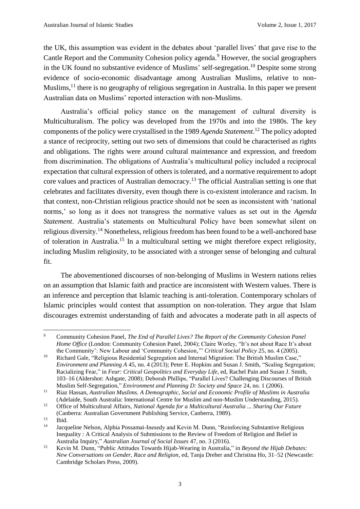the UK, this assumption was evident in the debates about 'parallel lives' that gave rise to the Cantle Report and the Community Cohesion policy agenda.<sup>9</sup> However, the social geographers in the UK found no substantive evidence of Muslims' self-segregation.<sup>10</sup> Despite some strong evidence of socio-economic disadvantage among Australian Muslims, relative to non-Muslims,<sup>11</sup> there is no geography of religious segregation in Australia. In this paper we present Australian data on Muslims' reported interaction with non-Muslims.

Australia's official policy stance on the management of cultural diversity is Multiculturalism. The policy was developed from the 1970s and into the 1980s. The key components of the policy were crystallised in the 1989 *Agenda Statement*. <sup>12</sup> The policy adopted a stance of reciprocity, setting out two sets of dimensions that could be characterised as rights and obligations. The rights were around cultural maintenance and expression, and freedom from discrimination. The obligations of Australia's multicultural policy included a reciprocal expectation that cultural expression of others is tolerated, and a normative requirement to adopt core values and practices of Australian democracy.<sup>13</sup> The official Australian setting is one that celebrates and facilitates diversity, even though there is co-existent intolerance and racism. In that context, non-Christian religious practice should not be seen as inconsistent with 'national norms,' so long as it does not transgress the normative values as set out in the *Agenda Statement*. Australia's statements on Multicultural Policy have been somewhat silent on religious diversity.<sup>14</sup> Nonetheless, religious freedom has been found to be a well-anchored base of toleration in Australia.<sup>15</sup> In a multicultural setting we might therefore expect religiosity, including Muslim religiosity, to be associated with a stronger sense of belonging and cultural fit.

The abovementioned discourses of non-belonging of Muslims in Western nations relies on an assumption that Islamic faith and practice are inconsistent with Western values. There is an inference and perception that Islamic teaching is anti-toleration. Contemporary scholars of Islamic principles would contest that assumption on non-toleration. They argue that Islam discourages extremist understanding of faith and advocates a moderate path in all aspects of

 $\overline{9}$ <sup>9</sup> Community Cohesion Panel, *The End of Parallel Lives? The Report of the Community Cohesion Panel Home Office* (London: Community Cohesion Panel, 2004); Claire Worley, "It's not about Race It's about the Community': New Labour and 'Community Cohesion,'" *Critical Social Policy* 25, no. 4 (2005).

<sup>&</sup>lt;sup>10</sup> Richard Gale, "Religious Residential Segregation and Internal Migration: The British Muslim Case," *Environment and Planning A* 45, no. 4 (2013); Peter E. Hopkins and Susan J. Smith, "Scaling Segregation; Racializing Fear," in *Fear: Critical Geopolitics and Everyday Life*, ed, Rachel Pain and Susan J. Smith, 103–16 (Aldershot: Ashgate, 2008); Deborah Phillips, "Parallel Lives? Challenging Discourses of British Muslim Self-Segregation," *Environment and Planning D: Society and Space* 24, no. 1 (2006).

<sup>11</sup> Riaz Hassan, *Australian Muslims. A Demographic, Social and Economic Profile of Muslims in Australia* (Adelaide, South Australia: International Centre for Muslim and non-Muslim Understanding, 2015).

<sup>12</sup> Office of Multicultural Affairs, *National Agenda for a Multicultural Australia ... Sharing Our Future* (Canberra: Australian Government Publishing Service, Canberra, 1989).

 $13$  Ibid.

<sup>14</sup> Jacqueline Nelson, Alphia Possamai-Inesedy and Kevin M. Dunn, "Reinforcing Substantive Religious Inequality : A Critical Analysis of Submissions to the Review of Freedom of Religion and Belief in Australia Inquiry," *Australian Journal of Social Issues* 47, no. 3 (2016).

<sup>15</sup> Kevin M. Dunn, "Public Attitudes Towards Hijab-Wearing in Australia," in *Beyond the Hijab Debates: New Conversations on Gender, Race and Religion*, ed, Tanja Dreher and Christina Ho, 31–52 (Newcastle: Cambridge Scholars Press, 2009).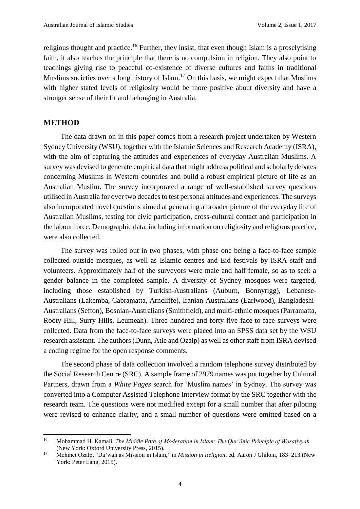religious thought and practice.<sup>16</sup> Further, they insist, that even though Islam is a proselytising faith, it also teaches the principle that there is no compulsion in religion. They also point to teachings giving rise to peaceful co-existence of diverse cultures and faiths in traditional Muslims societies over a long history of Islam.<sup>17</sup> On this basis, we might expect that Muslims with higher stated levels of religiosity would be more positive about diversity and have a stronger sense of their fit and belonging in Australia.

#### **METHOD**

The data drawn on in this paper comes from a research project undertaken by Western Sydney University (WSU), together with the Islamic Sciences and Research Academy (ISRA), with the aim of capturing the attitudes and experiences of everyday Australian Muslims. A survey was devised to generate empirical data that might address political and scholarly debates concerning Muslims in Western countries and build a robust empirical picture of life as an Australian Muslim. The survey incorporated a range of well-established survey questions utilised in Australia for over two decades to test personal attitudes and experiences. The surveys also incorporated novel questions aimed at generating a broader picture of the everyday life of Australian Muslims, testing for civic participation, cross-cultural contact and participation in the labour force. Demographic data, including information on religiosity and religious practice, were also collected.

The survey was rolled out in two phases, with phase one being a face-to-face sample collected outside mosques, as well as Islamic centres and Eid festivals by ISRA staff and volunteers. Approximately half of the surveyors were male and half female, so as to seek a gender balance in the completed sample. A diversity of Sydney mosques were targeted, including those established by Turkish-Australians (Auburn, Bonnyrigg), Lebanese-Australians (Lakemba, Cabramatta, Arncliffe), Iranian-Australians (Earlwood), Bangladeshi-Australians (Sefton), Bosnian-Australians (Smithfield), and multi-ethnic mosques (Parramatta, Rooty Hill, Surry Hills, Leumeah). Three hundred and forty-five face-to-face surveys were collected. Data from the face-to-face surveys were placed into an SPSS data set by the WSU research assistant. The authors (Dunn, Atie and Ozalp) as well as other staff from ISRA devised a coding regime for the open response comments.

The second phase of data collection involved a random telephone survey distributed by the Social Research Centre (SRC). A sample frame of 2979 names was put together by Cultural Partners, drawn from a *White Pages* search for 'Muslim names' in Sydney. The survey was converted into a Computer Assisted Telephone Interview format by the SRC together with the research team. The questions were not modified except for a small number that after piloting were revised to enhance clarity, and a small number of questions were omitted based on a

 $16\,$ <sup>16</sup> Mohammad H. Kamali, *The Middle Path of Moderation in Islam: The Qur'ānic Principle of Wasatịyyah* (New York: Oxford University Press, 2015).

<sup>17</sup> Mehmet Ozalp, "Da'wah as Mission in Islam," in *Mission in Religion*, ed. Aaron J Ghiloni, 183–213 (New York: Peter Lang, 2015).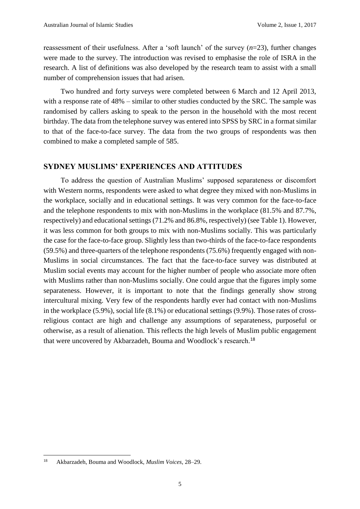reassessment of their usefulness. After a 'soft launch' of the survey (*n*=23), further changes were made to the survey. The introduction was revised to emphasise the role of ISRA in the research. A list of definitions was also developed by the research team to assist with a small number of comprehension issues that had arisen.

Two hundred and forty surveys were completed between 6 March and 12 April 2013, with a response rate of 48% – similar to other studies conducted by the SRC. The sample was randomised by callers asking to speak to the person in the household with the most recent birthday. The data from the telephone survey was entered into SPSS by SRC in a format similar to that of the face-to-face survey. The data from the two groups of respondents was then combined to make a completed sample of 585.

#### **SYDNEY MUSLIMS' EXPERIENCES AND ATTITUDES**

To address the question of Australian Muslims' supposed separateness or discomfort with Western norms, respondents were asked to what degree they mixed with non-Muslims in the workplace, socially and in educational settings. It was very common for the face-to-face and the telephone respondents to mix with non-Muslims in the workplace (81.5% and 87.7%, respectively) and educational settings (71.2% and 86.8%, respectively) (see Table 1). However, it was less common for both groups to mix with non-Muslims socially. This was particularly the case for the face-to-face group. Slightly less than two-thirds of the face-to-face respondents (59.5%) and three-quarters of the telephone respondents (75.6%) frequently engaged with non-Muslims in social circumstances. The fact that the face-to-face survey was distributed at Muslim social events may account for the higher number of people who associate more often with Muslims rather than non-Muslims socially. One could argue that the figures imply some separateness. However, it is important to note that the findings generally show strong intercultural mixing. Very few of the respondents hardly ever had contact with non-Muslims in the workplace (5.9%), social life (8.1%) or educational settings (9.9%). Those rates of crossreligious contact are high and challenge any assumptions of separateness, purposeful or otherwise, as a result of alienation. This reflects the high levels of Muslim public engagement that were uncovered by Akbarzadeh, Bouma and Woodlock's research.<sup>18</sup>

<sup>18</sup> <sup>18</sup> Akbarzadeh, Bouma and Woodlock, *Muslim Voices*, 28–29.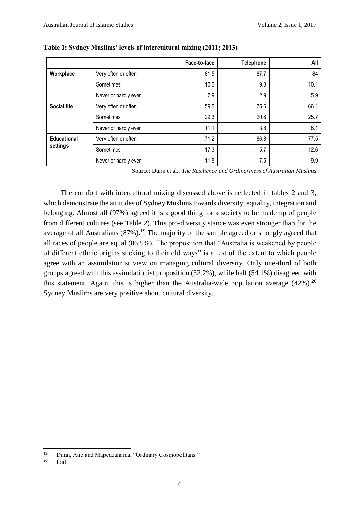|                                |                      | Face-to-face | <b>Telephone</b> | All  |
|--------------------------------|----------------------|--------------|------------------|------|
| Workplace                      | Very often or often  | 81.5         | 87.7             | 84   |
|                                | Sometimes            | 10.6         | 9.3              | 10.1 |
|                                | Never or hardly ever | 7.9          | 2.9              | 5.9  |
| <b>Social life</b>             | Very often or often  | 59.5         | 75.6             | 66.1 |
|                                | Sometimes            | 29.3         | 20.6             | 25.7 |
|                                | Never or hardly ever | 11.1         | 3.8              | 8.1  |
| <b>Educational</b><br>settings | Very often or often  | 71.2         | 86.8             | 77.5 |
|                                | Sometimes            | 17.3         | 5.7              | 12.6 |
|                                | Never or hardly ever | 11.5         | 7.5              | 9.9  |

**Table 1: Sydney Muslims' levels of intercultural mixing (2011; 2013)**

Source: Dunn et al., *The Resilience and Ordinariness of Australian Muslims*

The comfort with intercultural mixing discussed above is reflected in tables 2 and 3, which demonstrate the attitudes of Sydney Muslims towards diversity, equality, integration and belonging. Almost all (97%) agreed it is a good thing for a society to be made up of people from different cultures (see Table 2). This pro-diversity stance was even stronger than for the average of all Australians  $(87\%)$ .<sup>19</sup> The majority of the sample agreed or strongly agreed that all races of people are equal (86.5%). The proposition that "Australia is weakened by people of different ethnic origins sticking to their old ways" is a test of the extent to which people agree with an assimilationist view on managing cultural diversity. Only one-third of both groups agreed with this assimilationist proposition (32.2%), while half (54.1%) disagreed with this statement. Again, this is higher than the Australia-wide population average  $(42\%)$ .<sup>20</sup> Sydney Muslims are very positive about cultural diversity.

 $19$ <sup>19</sup> Dunn, Atie and Mapedzahama, "Ordinary Cosmopolitans."<br><sup>20</sup> Ibid

Ibid.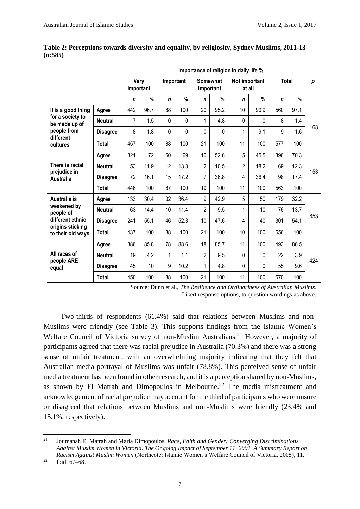|                                                                                       |                 | Importance of religion in daily life % |      |             |      |                       |      |                         |               |              |      |      |
|---------------------------------------------------------------------------------------|-----------------|----------------------------------------|------|-------------|------|-----------------------|------|-------------------------|---------------|--------------|------|------|
|                                                                                       |                 | Very<br>Important                      |      | Important   |      | Somewhat<br>Important |      | Not important<br>at all |               | <b>Total</b> |      | p    |
|                                                                                       |                 | $\mathsf{n}$                           | %    | $\mathbf n$ | %    | n                     | %    | $\mathbf n$             | $\frac{0}{0}$ | $\mathbf n$  | $\%$ |      |
| It is a good thing                                                                    | Agree           | 442                                    | 96.7 | 88          | 100  | 20                    | 95.2 | 10                      | 90.9          | 560          | 97.1 | .168 |
| for a society to<br>be made up of                                                     | <b>Neutral</b>  | 7                                      | 1.5  | 0           | 0    | 1                     | 4.8  | $\Omega$                | 0             | 8            | 1.4  |      |
| people from                                                                           | <b>Disagree</b> | 8                                      | 1.8  | 0           | 0    | 0                     | 0    | 1                       | 9.1           | 9            | 1.6  |      |
| different<br>cultures                                                                 | <b>Total</b>    | 457                                    | 100  | 88          | 100  | 21                    | 100  | 11                      | 100           | 577          | 100  |      |
|                                                                                       | Agree           | 321                                    | 72   | 60          | 69   | 10                    | 52.6 | 5                       | 45.5          | 396          | 70.3 | .153 |
| There is racial                                                                       | <b>Neutral</b>  | 53                                     | 11.9 | 12          | 13.8 | $\overline{2}$        | 10.5 | $\overline{2}$          | 18.2          | 69           | 12.3 |      |
| prejudice in<br><b>Australia</b>                                                      | <b>Disagree</b> | 72                                     | 16.1 | 15          | 17.2 | 7                     | 36.8 | 4                       | 36.4          | 98           | 17.4 |      |
|                                                                                       | <b>Total</b>    | 446                                    | 100  | 87          | 100  | 19                    | 100  | 11                      | 100           | 563          | 100  |      |
| Australia is                                                                          | Agree           | 133                                    | 30.4 | 32          | 36.4 | 9                     | 42.9 | 5                       | 50            | 179          | 32.2 | .653 |
| weakened by<br>people of<br>different ethnic<br>origins sticking<br>to their old ways | <b>Neutral</b>  | 63                                     | 14.4 | 10          | 11.4 | $\overline{2}$        | 9.5  | 1                       | 10            | 76           | 13.7 |      |
|                                                                                       | <b>Disagree</b> | 241                                    | 55.1 | 46          | 52.3 | 10                    | 47.6 | 4                       | 40            | 301          | 54.1 |      |
|                                                                                       | <b>Total</b>    | 437                                    | 100  | 88          | 100  | 21                    | 100  | 10                      | 100           | 556          | 100  |      |
| All races of<br>people ARE<br>equal                                                   | Agree           | 386                                    | 85.8 | 78          | 88.6 | 18                    | 85.7 | 11                      | 100           | 493          | 86.5 | .424 |
|                                                                                       | <b>Neutral</b>  | 19                                     | 4.2  | 1           | 1.1  | $\overline{2}$        | 9.5  | 0                       | $\Omega$      | 22           | 3.9  |      |
|                                                                                       | <b>Disagree</b> | 45                                     | 10   | 9           | 10.2 | 1                     | 4.8  | 0                       | 0             | 55           | 9.6  |      |
|                                                                                       | <b>Total</b>    | 450                                    | 100  | 88          | 100  | 21                    | 100  | 11                      | 100           | 570          | 100  |      |

**Table 2: Perceptions towards diversity and equality, by religiosity, Sydney Muslims, 2011-13 (n:585)**

Source: Dunn et al., *The Resilience and Ordinariness of Australian Muslims*.

Likert response options, to question wordings as above.

Two-thirds of respondents (61.4%) said that relations between Muslims and non-Muslims were friendly (see Table 3). This supports findings from the Islamic Women's Welfare Council of Victoria survey of non-Muslim Australians.<sup>21</sup> However, a majority of participants agreed that there was racial prejudice in Australia (70.3%) and there was a strong sense of unfair treatment, with an overwhelming majority indicating that they felt that Australian media portrayal of Muslims was unfair (78.8%). This perceived sense of unfair media treatment has been found in other research, and it is a perception shared by non-Muslims, as shown by El Matrah and Dimopoulos in Melbourne.<sup>22</sup> The media mistreatment and acknowledgement of racial prejudice may account for the third of participants who were unsure or disagreed that relations between Muslims and non-Muslims were friendly (23.4% and 15.1%, respectively).

 $21\,$ <sup>21</sup> Joumanah El Matrah and Maria Dimopoulos, *Race, Faith and Gender: Converging Discriminations Against Muslim Women in Victoria. The Ongoing Impact of September 11, 2001. A Summary Report on Racism Against Muslim Women* (Northcote: Islamic Women's Welfare Council of Victoria, 2008), 11.

 $^{22}$  Ibid, 67–68.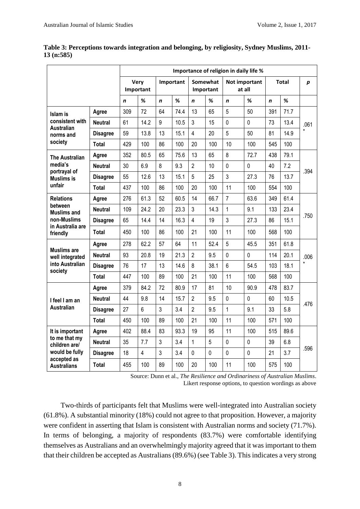|                                                                                                          | Importance of religion in daily life % |     |                 |             |                       |                |                         |                |             |             |                  |      |
|----------------------------------------------------------------------------------------------------------|----------------------------------------|-----|-----------------|-------------|-----------------------|----------------|-------------------------|----------------|-------------|-------------|------------------|------|
|                                                                                                          | Very<br>Important                      |     | Important       |             | Somewhat<br>Important |                | Not important<br>at all |                | Total       |             | $\boldsymbol{p}$ |      |
|                                                                                                          |                                        | n   | %               | $\mathbf n$ | %                     | n              | %                       | $\mathbf n$    | %           | $\mathbf n$ | %                |      |
| Islam is<br>consistent with<br><b>Australian</b><br>norms and<br>society                                 | Agree                                  | 309 | 72              | 64          | 74.4                  | 13             | 65                      | 5              | 50          | 391         | 71.7             | .061 |
|                                                                                                          | Neutral                                | 61  | 14.2            | 9           | 10.5                  | 3              | 15                      | $\mathbf 0$    | $\pmb{0}$   | 73          | 13.4             |      |
|                                                                                                          | <b>Disagree</b>                        | 59  | 13.8            | 13          | 15.1                  | 4              | 20                      | 5              | 50          | 81          | 14.9             |      |
|                                                                                                          | <b>Total</b>                           | 429 | 100             | 86          | 100                   | 20             | 100                     | 10             | 100         | 545         | 100              |      |
| <b>The Australian</b>                                                                                    | Agree                                  | 352 | 80.5            | 65          | 75.6                  | 13             | 65                      | 8              | 72.7        | 438         | 79.1             |      |
| media's<br>portrayal of                                                                                  | <b>Neutral</b>                         | 30  | 6.9             | 8           | 9.3                   | $\overline{2}$ | 10                      | $\mathbf 0$    | $\pmb{0}$   | 40          | 7.2              | .394 |
| <b>Muslims is</b>                                                                                        | <b>Disagree</b>                        | 55  | 12.6            | 13          | 15.1                  | 5              | 25                      | 3              | 27.3        | 76          | 13.7             |      |
| unfair                                                                                                   | <b>Total</b>                           | 437 | 100             | 86          | 100                   | 20             | 100                     | 11             | 100         | 554         | 100              |      |
| <b>Relations</b>                                                                                         | Agree                                  | 276 | 61.3            | 52          | 60.5                  | 14             | 66.7                    | $\overline{7}$ | 63.6        | 349         | 61.4             | .750 |
| between<br><b>Muslims and</b>                                                                            | Neutral                                | 109 | 24.2            | 20          | 23.3                  | 3              | 14.3                    | 1              | 9.1         | 133         | 23.4             |      |
| non-Muslims<br>in Australia are<br>friendly                                                              | <b>Disagree</b>                        | 65  | 14.4            | 14          | 16.3                  | $\overline{4}$ | 19                      | 3              | 27.3        | 86          | 15.1             |      |
|                                                                                                          | <b>Total</b>                           | 450 | 100             | 86          | 100                   | 21             | 100                     | 11             | 100         | 568         | 100              |      |
|                                                                                                          | Agree                                  | 278 | 62.2            | 57          | 64                    | 11             | 52.4                    | 5              | 45.5        | 351         | 61.8             | .006 |
| <b>Muslims are</b><br>well integrated<br>into Australian<br>society                                      | <b>Neutral</b>                         | 93  | 20.8            | 19          | 21.3                  | $\overline{2}$ | 9.5                     | $\mathbf 0$    | $\mathbf 0$ | 114         | 20.1             |      |
|                                                                                                          | <b>Disagree</b>                        | 76  | 17              | 13          | 14.6                  | 8              | 38.1                    | 6              | 54.5        | 103         | 18.1             |      |
|                                                                                                          | <b>Total</b>                           | 447 | 100             | 89          | 100                   | 21             | 100                     | 11             | 100         | 568         | 100              |      |
| I feel I am an<br>Australian                                                                             | Agree                                  | 379 | 84.2            | 72          | 80.9                  | 17             | 81                      | 10             | 90.9        | 478         | 83.7             | .476 |
|                                                                                                          | <b>Neutral</b>                         | 44  | 9.8             | 14          | 15.7                  | $\overline{c}$ | 9.5                     | $\mathbf 0$    | $\mathbf 0$ | 60          | 10.5             |      |
|                                                                                                          | <b>Disagree</b>                        | 27  | $6\phantom{1}6$ | 3           | 3.4                   | $\overline{2}$ | 9.5                     | $\mathbf{1}$   | 9.1         | 33          | 5.8              |      |
|                                                                                                          | <b>Total</b>                           | 450 | 100             | 89          | 100                   | 21             | 100                     | 11             | 100         | 571         | 100              |      |
| It is important<br>to me that my<br>children are/<br>would be fully<br>accepted as<br><b>Australians</b> | Agree                                  | 402 | 88.4            | 83          | 93.3                  | 19             | 95                      | 11             | 100         | 515         | 89.6             | .596 |
|                                                                                                          | <b>Neutral</b>                         | 35  | 7.7             | 3           | 3.4                   | $\mathbf{1}$   | 5                       | $\overline{0}$ | $\pmb{0}$   | 39          | 6.8              |      |
|                                                                                                          | <b>Disagree</b>                        | 18  | $\overline{4}$  | 3           | 3.4                   | $\mathbf 0$    | $\pmb{0}$               | $\mathbf 0$    | $\mathbf 0$ | 21          | 3.7              |      |
|                                                                                                          | <b>Total</b>                           | 455 | 100             | 89          | 100                   | 20             | 100                     | 11             | 100         | 575         | 100              |      |

**Table 3: Perceptions towards integration and belonging, by religiosity, Sydney Muslims, 2011- 13 (n:585)**

Source: Dunn et al., *The Resilience and Ordinariness of Australian Muslims*. Likert response options, to question wordings as above

Two-thirds of participants felt that Muslims were well-integrated into Australian society (61.8%). A substantial minority (18%) could not agree to that proposition. However, a majority were confident in asserting that Islam is consistent with Australian norms and society (71.7%). In terms of belonging, a majority of respondents (83.7%) were comfortable identifying themselves as Australians and an overwhelmingly majority agreed that it was important to them that their children be accepted as Australians (89.6%) (see Table 3). This indicates a very strong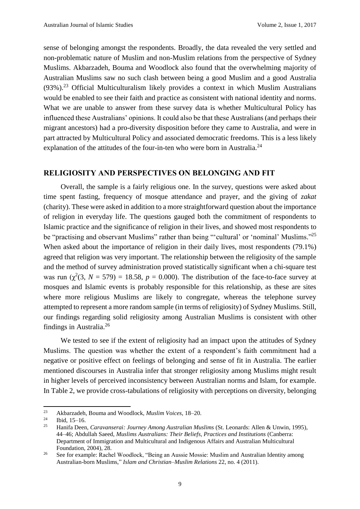sense of belonging amongst the respondents. Broadly, the data revealed the very settled and non-problematic nature of Muslim and non-Muslim relations from the perspective of Sydney Muslims. Akbarzadeh, Bouma and Woodlock also found that the overwhelming majority of Australian Muslims saw no such clash between being a good Muslim and a good Australia  $(93\%)$ .<sup>23</sup> Official Multiculturalism likely provides a context in which Muslim Australians would be enabled to see their faith and practice as consistent with national identity and norms. What we are unable to answer from these survey data is whether Multicultural Policy has influenced these Australians' opinions. It could also be that these Australians (and perhaps their migrant ancestors) had a pro-diversity disposition before they came to Australia, and were in part attracted by Multicultural Policy and associated democratic freedoms. This is a less likely explanation of the attitudes of the four-in-ten who were born in Australia.<sup>24</sup>

#### **RELIGIOSITY AND PERSPECTIVES ON BELONGING AND FIT**

Overall, the sample is a fairly religious one. In the survey, questions were asked about time spent fasting, frequency of mosque attendance and prayer, and the giving of *zakat* (charity). These were asked in addition to a more straightforward question about the importance of religion in everyday life. The questions gauged both the commitment of respondents to Islamic practice and the significance of religion in their lives, and showed most respondents to be "practising and observant Muslims" rather than being "'cultural' or 'nominal' Muslims."<sup>25</sup> When asked about the importance of religion in their daily lives, most respondents (79.1%) agreed that religion was very important. The relationship between the religiosity of the sample and the method of survey administration proved statistically significant when a chi-square test was run  $(\chi^2(3, N = 579) = 18.58, p = 0.000)$ . The distribution of the face-to-face survey at mosques and Islamic events is probably responsible for this relationship, as these are sites where more religious Muslims are likely to congregate, whereas the telephone survey attempted to represent a more random sample (in terms of religiosity) of Sydney Muslims. Still, our findings regarding solid religiosity among Australian Muslims is consistent with other findings in Australia.<sup>26</sup>

We tested to see if the extent of religiosity had an impact upon the attitudes of Sydney Muslims. The question was whether the extent of a respondent's faith commitment had a negative or positive effect on feelings of belonging and sense of fit in Australia. The earlier mentioned discourses in Australia infer that stronger religiosity among Muslims might result in higher levels of perceived inconsistency between Australian norms and Islam, for example. In Table 2, we provide cross-tabulations of religiosity with perceptions on diversity, belonging

**.** 

<sup>23</sup> Akbarzadeh, Bouma and Woodlock, *Muslim Voices*, 18–20.

 $\frac{24}{25}$  Ibid, 15–16.

<sup>25</sup> Hanifa Deen, *Caravanserai: Journey Among Australian Muslims* (St. Leonards: Allen & Unwin, 1995), 44–46; Abdullah Saeed, *Muslims Australians: Their Beliefs, Practices and Institutions* (Canberra: Department of Immigration and Multicultural and Indigenous Affairs and Australian Multicultural Foundation, 2004), 28.

<sup>&</sup>lt;sup>26</sup> See for example: Rachel Woodlock, "Being an Aussie Mossie: Muslim and Australian Identity among Australian-born Muslims," *Islam and Christian–Muslim Relations* 22, no. 4 (2011).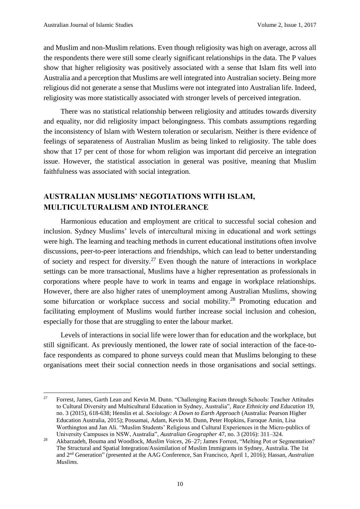**.** 

and Muslim and non-Muslim relations. Even though religiosity was high on average, across all the respondents there were still some clearly significant relationships in the data. The P values show that higher religiosity was positively associated with a sense that Islam fits well into Australia and a perception that Muslims are well integrated into Australian society. Being more religious did not generate a sense that Muslims were not integrated into Australian life. Indeed, religiosity was more statistically associated with stronger levels of perceived integration.

There was no statistical relationship between religiosity and attitudes towards diversity and equality, nor did religiosity impact belongingness. This combats assumptions regarding the inconsistency of Islam with Western toleration or secularism. Neither is there evidence of feelings of separateness of Australian Muslim as being linked to religiosity. The table does show that 17 per cent of those for whom religion was important did perceive an integration issue. However, the statistical association in general was positive, meaning that Muslim faithfulness was associated with social integration.

## **AUSTRALIAN MUSLIMS' NEGOTIATIONS WITH ISLAM, MULTICULTURALISM AND INTOLERANCE**

Harmonious education and employment are critical to successful social cohesion and inclusion. Sydney Muslims' levels of intercultural mixing in educational and work settings were high. The learning and teaching methods in current educational institutions often involve discussions, peer-to-peer interactions and friendships, which can lead to better understanding of society and respect for diversity.<sup>27</sup> Even though the nature of interactions in workplace settings can be more transactional, Muslims have a higher representation as professionals in corporations where people have to work in teams and engage in workplace relationships. However, there are also higher rates of unemployment among Australian Muslims, showing some bifurcation or workplace success and social mobility.<sup>28</sup> Promoting education and facilitating employment of Muslims would further increase social inclusion and cohesion, especially for those that are struggling to enter the labour market.

Levels of interactions in social life were lower than for education and the workplace, but still significant. As previously mentioned, the lower rate of social interaction of the face-toface respondents as compared to phone surveys could mean that Muslims belonging to these organisations meet their social connection needs in those organisations and social settings.

<sup>&</sup>lt;sup>27</sup> Forrest, James, Garth Lean and Kevin M. Dunn. "Challenging Racism through Schools: Teacher Attitudes to Cultural Diversity and Multicultural Education in Sydney, Australia", *Race Ethnicity and Education* 19, no. 3 (2015), 618-638; Henslin et al. *Sociology: A Down to Earth Approach* (Australia: Pearson Higher Education Australia, 2015); Possamai, Adam, Kevin M. Dunn, Peter Hopkins, Faroque Amin, Lisa Worthington and Jan Ali. "Muslim Students' Religious and Cultural Experiences in the Micro-publics of University Campuses in NSW, Australia", *Australian Geographer* 47, no. 3 (2016): 311–324.

<sup>28</sup> Akbarzadeh, Bouma and Woodlock, *Muslim Voices*, 26–27; James Forrest, "Melting Pot or Segmentation? The Structural and Spatial Integration/Assimilation of Muslim Immigrants in Sydney, Australia. The 1st and 2nd Generation" (presented at the AAG Conference, San Francisco, April 1, 2016); Hassan, *Australian Muslims*.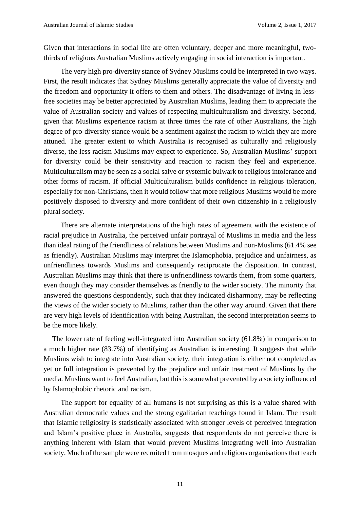Given that interactions in social life are often voluntary, deeper and more meaningful, twothirds of religious Australian Muslims actively engaging in social interaction is important.

The very high pro-diversity stance of Sydney Muslims could be interpreted in two ways. First, the result indicates that Sydney Muslims generally appreciate the value of diversity and the freedom and opportunity it offers to them and others. The disadvantage of living in lessfree societies may be better appreciated by Australian Muslims, leading them to appreciate the value of Australian society and values of respecting multiculturalism and diversity. Second, given that Muslims experience racism at three times the rate of other Australians, the high degree of pro-diversity stance would be a sentiment against the racism to which they are more attuned. The greater extent to which Australia is recognised as culturally and religiously diverse, the less racism Muslims may expect to experience. So, Australian Muslims' support for diversity could be their sensitivity and reaction to racism they feel and experience. Multiculturalism may be seen as a social salve or systemic bulwark to religious intolerance and other forms of racism. If official Multiculturalism builds confidence in religious toleration, especially for non-Christians, then it would follow that more religious Muslims would be more positively disposed to diversity and more confident of their own citizenship in a religiously plural society.

There are alternate interpretations of the high rates of agreement with the existence of racial prejudice in Australia, the perceived unfair portrayal of Muslims in media and the less than ideal rating of the friendliness of relations between Muslims and non-Muslims (61.4% see as friendly). Australian Muslims may interpret the Islamophobia, prejudice and unfairness, as unfriendliness towards Muslims and consequently reciprocate the disposition. In contrast, Australian Muslims may think that there is unfriendliness towards them, from some quarters, even though they may consider themselves as friendly to the wider society. The minority that answered the questions despondently, such that they indicated disharmony, may be reflecting the views of the wider society to Muslims, rather than the other way around. Given that there are very high levels of identification with being Australian, the second interpretation seems to be the more likely.

The lower rate of feeling well-integrated into Australian society (61.8%) in comparison to a much higher rate (83.7%) of identifying as Australian is interesting. It suggests that while Muslims wish to integrate into Australian society, their integration is either not completed as yet or full integration is prevented by the prejudice and unfair treatment of Muslims by the media. Muslims want to feel Australian, but this is somewhat prevented by a society influenced by Islamophobic rhetoric and racism.

The support for equality of all humans is not surprising as this is a value shared with Australian democratic values and the strong egalitarian teachings found in Islam. The result that Islamic religiosity is statistically associated with stronger levels of perceived integration and Islam's positive place in Australia, suggests that respondents do not perceive there is anything inherent with Islam that would prevent Muslims integrating well into Australian society. Much of the sample were recruited from mosques and religious organisations that teach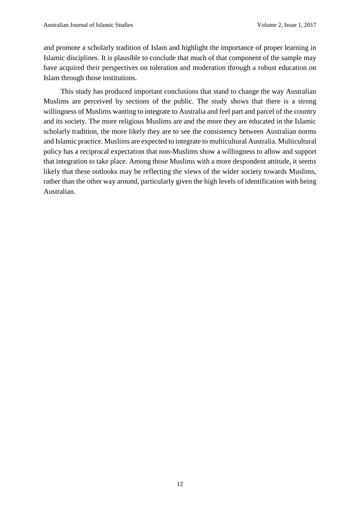and promote a scholarly tradition of Islam and highlight the importance of proper learning in Islamic disciplines. It is plausible to conclude that much of that component of the sample may have acquired their perspectives on toleration and moderation through a robust education on Islam through those institutions.

This study has produced important conclusions that stand to change the way Australian Muslims are perceived by sections of the public. The study shows that there is a strong willingness of Muslims wanting to integrate to Australia and feel part and parcel of the country and its society. The more religious Muslims are and the more they are educated in the Islamic scholarly tradition, the more likely they are to see the consistency between Australian norms and Islamic practice. Muslims are expected to integrate to multicultural Australia. Multicultural policy has a reciprocal expectation that non-Muslims show a willingness to allow and support that integration to take place. Among those Muslims with a more despondent attitude, it seems likely that these outlooks may be reflecting the views of the wider society towards Muslims, rather than the other way around, particularly given the high levels of identification with being Australian.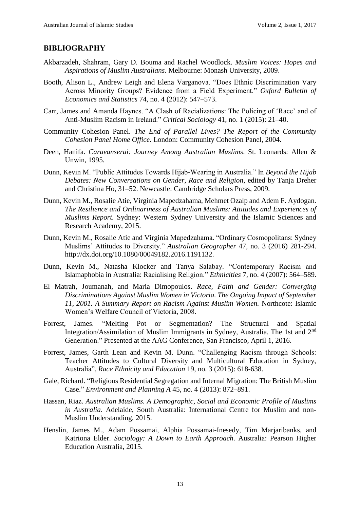### **BIBLIOGRAPHY**

- Akbarzadeh, Shahram, Gary D. Bouma and Rachel Woodlock. *Muslim Voices: Hopes and Aspirations of Muslim Australians*. Melbourne: Monash University, 2009.
- Booth, Alison L., Andrew Leigh and Elena Varganova. "Does Ethnic Discrimination Vary Across Minority Groups? Evidence from a Field Experiment." *Oxford Bulletin of Economics and Statistics* 74, no. 4 (2012): 547–573.
- Carr, James and Amanda Haynes. "A Clash of Racializations: The Policing of 'Race' and of Anti-Muslim Racism in Ireland." *Critical Sociology* 41, no. 1 (2015): 21–40.
- Community Cohesion Panel. *The End of Parallel Lives? The Report of the Community Cohesion Panel Home Office*. London: Community Cohesion Panel, 2004.
- Deen, Hanifa. *Caravanserai: Journey Among Australian Muslims*. St. Leonards: Allen & Unwin, 1995.
- Dunn, Kevin M. "Public Attitudes Towards Hijab-Wearing in Australia." In *Beyond the Hijab Debates: New Conversations on Gender, Race and Religion*, edited by Tanja Dreher and Christina Ho, 31–52. Newcastle: Cambridge Scholars Press, 2009.
- Dunn, Kevin M., Rosalie Atie, Virginia Mapedzahama, Mehmet Ozalp and Adem F. Aydogan. *The Resilience and Ordinariness of Australian Muslims: Attitudes and Experiences of Muslims Report.* Sydney: Western Sydney University and the Islamic Sciences and Research Academy, 2015.
- Dunn, Kevin M., Rosalie Atie and Virginia Mapedzahama. "Ordinary Cosmopolitans: Sydney Muslims' Attitudes to Diversity." *Australian Geographer* 47, no. 3 (2016) 281-294. http://dx.doi.org/10.1080/00049182.2016.1191132.
- Dunn, Kevin M., Natasha Klocker and Tanya Salabay. "Contemporary Racism and Islamaphobia in Australia: Racialising Religion." *Ethnicities* 7, no. 4 (2007): 564–589.
- El Matrah, Joumanah, and Maria Dimopoulos. *Race, Faith and Gender: Converging Discriminations Against Muslim Women in Victoria. The Ongoing Impact of September 11, 2001. A Summary Report on Racism Against Muslim Women.* Northcote: Islamic Women's Welfare Council of Victoria, 2008.
- Forrest, James. "Melting Pot or Segmentation? The Structural and Spatial Integration/Assimilation of Muslim Immigrants in Sydney, Australia. The 1st and 2nd Generation." Presented at the AAG Conference, San Francisco, April 1, 2016.
- Forrest, James, Garth Lean and Kevin M. Dunn. "Challenging Racism through Schools: Teacher Attitudes to Cultural Diversity and Multicultural Education in Sydney, Australia", *Race Ethnicity and Education* 19, no. 3 (2015): 618-638.
- Gale, Richard. "Religious Residential Segregation and Internal Migration: The British Muslim Case." *Environment and Planning A* 45, no. 4 (2013): 872–891.
- Hassan, Riaz. *Australian Muslims. A Demographic, Social and Economic Profile of Muslims in Australia*. Adelaide, South Australia: International Centre for Muslim and non-Muslim Understanding, 2015.
- Henslin, James M., Adam Possamai, Alphia Possamai-Inesedy, Tim Marjaribanks, and Katriona Elder. *Sociology: A Down to Earth Approach*. Australia: Pearson Higher Education Australia, 2015.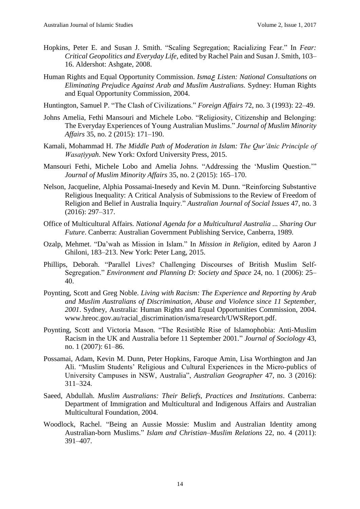- Hopkins, Peter E. and Susan J. Smith. "Scaling Segregation; Racializing Fear." In *Fear: Critical Geopolitics and Everyday Life*, edited by Rachel Pain and Susan J. Smith, 103– 16. Aldershot: Ashgate, 2008.
- Human Rights and Equal Opportunity Commission. *Isma*ع *Listen: National Consultations on Eliminating Prejudice Against Arab and Muslim Australians.* Sydney: Human Rights and Equal Opportunity Commission, 2004.
- Huntington, Samuel P. "The Clash of Civilizations." *Foreign Affairs* 72, no. 3 (1993): 22–49.
- Johns Amelia, Fethi Mansouri and Michele Lobo. "Religiosity, Citizenship and Belonging: The Everyday Experiences of Young Australian Muslims." *Journal of Muslim Minority Affairs* 35, no. 2 (2015): 171–190.
- Kamali, Mohammad H. *The Middle Path of Moderation in Islam: The Qur'ānic Principle of Wasatiyyah.* New York: Oxford University Press, 2015.
- Mansouri Fethi, Michele Lobo and Amelia Johns. "Addressing the 'Muslim Question.'" *Journal of Muslim Minority Affairs* 35, no. 2 (2015): 165–170.
- Nelson, Jacqueline, Alphia Possamai-Inesedy and Kevin M. Dunn. "Reinforcing Substantive Religious Inequality: A Critical Analysis of Submissions to the Review of Freedom of Religion and Belief in Australia Inquiry." *Australian Journal of Social Issues* 47, no. 3 (2016): 297–317.
- Office of Multicultural Affairs*. National Agenda for a Multicultural Australia ... Sharing Our Future*. Canberra: Australian Government Publishing Service, Canberra, 1989.
- Ozalp, Mehmet. "Da'wah as Mission in Islam." In *Mission in Religion*, edited by Aaron J Ghiloni, 183–213. New York: Peter Lang, 2015.
- Phillips, Deborah. "Parallel Lives? Challenging Discourses of British Muslim Self-Segregation." *Environment and Planning D: Society and Space* 24, no. 1 (2006): 25– 40.
- Poynting, Scott and Greg Noble. *Living with Racism: The Experience and Reporting by Arab and Muslim Australians of Discrimination, Abuse and Violence since 11 September, 2001*. Sydney, Australia: Human Rights and Equal Opportunities Commission, 2004. www.hreoc.gov.au/racial\_discrimination/isma/research/UWSReport.pdf.
- Poynting, Scott and Victoria Mason. "The Resistible Rise of Islamophobia: Anti-Muslim Racism in the UK and Australia before 11 September 2001." *Journal of Sociology* 43, no. 1 (2007): 61–86.
- Possamai, Adam, Kevin M. Dunn, Peter Hopkins, Faroque Amin, Lisa Worthington and Jan Ali. "Muslim Students' Religious and Cultural Experiences in the Micro-publics of University Campuses in NSW, Australia", *Australian Geographer* 47, no. 3 (2016): 311–324.
- Saeed, Abdullah. *Muslim Australians: Their Beliefs, Practices and Institutions*. Canberra: Department of Immigration and Multicultural and Indigenous Affairs and Australian Multicultural Foundation, 2004.
- Woodlock, Rachel. "Being an Aussie Mossie: Muslim and Australian Identity among Australian-born Muslims." *Islam and Christian–Muslim Relations* 22, no. 4 (2011): 391–407.